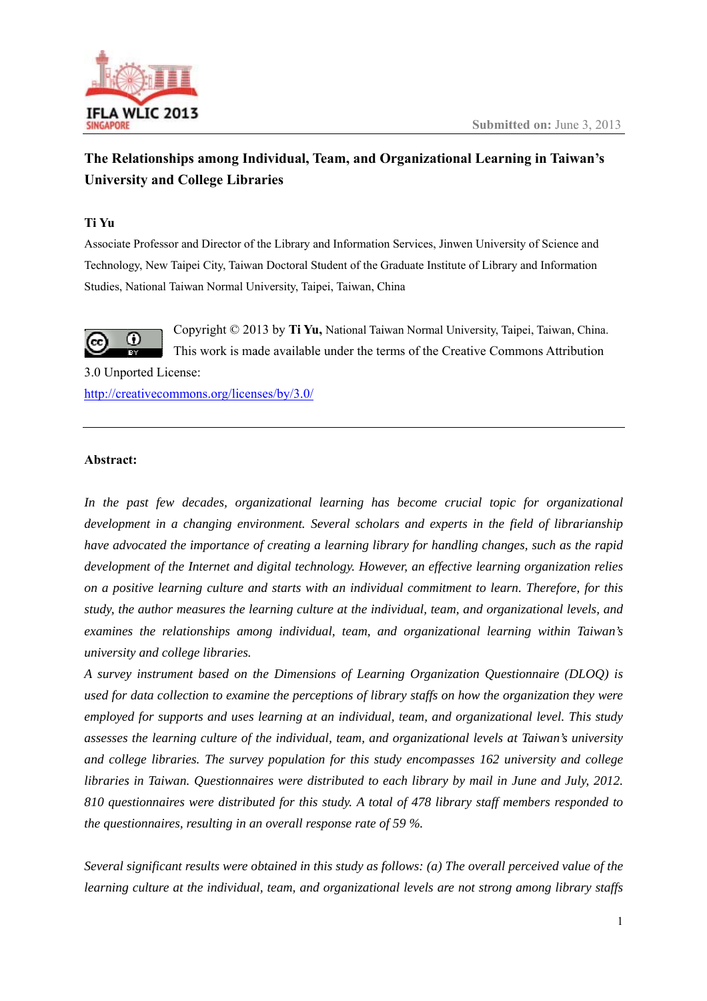

# **The Relationships among Individual, Team, and Organizational Learning in Taiwan's University and College Libraries**

# **Ti Yu**

Associate Professor and Director of the Library and Information Services, Jinwen University of Science and Technology, New Taipei City, Taiwan Doctoral Student of the Graduate Institute of Library and Information Studies, National Taiwan Normal University, Taipei, Taiwan, China



Copyright © 2013 by Ti Yu, National Taiwan Normal University, Taipei, Taiwan, China. This work is made available under the terms of the Creative Commons Attribution

3.0 Unported License: http://creativecommons.org/licenses/by/3.0/

# Abstract:

In the past few decades, organizational learning has become crucial topic for organizational *development in a changing environment. Several scholars and experts in the field of librarianship have advocated the importance of creating a learning library for handling changes, such as the rapid* development of the Internet and digital technology. However, an effective learning organization relies *on a positive learning culture and starts with an individual commitment to learn. Therefore, for this study, the author measures the learning culture at the individual, team, and organizational levels, and examines the relationships among individual, team, and organizational learning within Taiwan's university and college libraries.* 

A survey instrument based on the Dimensions of Learning Organization Questionnaire (DLOQ) is *used for data collection to examine the perceptions of library staffs on how the organization they were employed for supports and uses learning at an individual, team, and organizational level. This study assesses the learning culture of the individual, team, and organizational levels at Taiwan's university and college libraries. The survey population for this study encompasses 162 university and college libraries in Taiwan. Questionnaires were distributed to each library by mail in June and July, 2012.* 810 questionnaires were distributed for this study. A total of 478 library staff members responded to *the questionnaires, resulting in an overall response rate of 59 %.* 

*Several significant results were obtained in this study as follows: (a) The overall perceived value of the learning culture at the individual, team, and organizational levels are not strong among library staffs*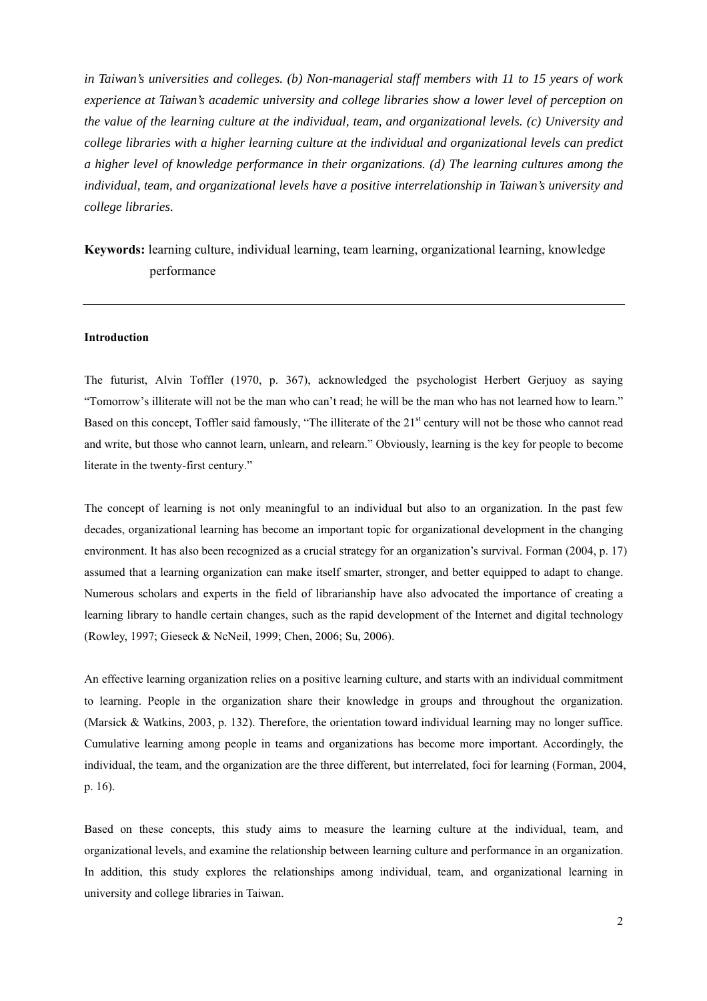*in Taiwan's universities and colleges. (b) Non-managerial staff members with 11 to 15 years of work experience at Taiwan's academic university and college libraries show a lower level of perception on the value of the learning culture at the individual, team, and organizational levels. (c) University and college libraries with a higher learning culture at the individual and organizational levels can predict a higher level of knowledge performance in their organizations. (d) The learning cultures among the individual, team, and organizational levels have a positive interrelationship in Taiwan's university and college libraries.* 

**Keywords:** learning culture, individual learning, team learning, organizational learning, knowledge performance

# **Introduction**

The futurist, Alvin Toffler (1970, p. 367), acknowledged the psychologist Herbert Gerjuoy as saying "Tomorrow's illiterate will not be the man who can't read; he will be the man who has not learned how to learn." Based on this concept, Toffler said famously, "The illiterate of the 21<sup>st</sup> century will not be those who cannot read and write, but those who cannot learn, unlearn, and relearn." Obviously, learning is the key for people to become literate in the twenty-first century."

The concept of learning is not only meaningful to an individual but also to an organization. In the past few decades, organizational learning has become an important topic for organizational development in the changing environment. It has also been recognized as a crucial strategy for an organization's survival. Forman (2004, p. 17) assumed that a learning organization can make itself smarter, stronger, and better equipped to adapt to change. Numerous scholars and experts in the field of librarianship have also advocated the importance of creating a learning library to handle certain changes, such as the rapid development of the Internet and digital technology (Rowley, 1997; Gieseck & NcNeil, 1999; Chen, 2006; Su, 2006).

An effective learning organization relies on a positive learning culture, and starts with an individual commitment to learning. People in the organization share their knowledge in groups and throughout the organization. (Marsick & Watkins, 2003, p. 132). Therefore, the orientation toward individual learning may no longer suffice. Cumulative learning among people in teams and organizations has become more important. Accordingly, the individual, the team, and the organization are the three different, but interrelated, foci for learning (Forman, 2004, p. 16).

Based on these concepts, this study aims to measure the learning culture at the individual, team, and organizational levels, and examine the relationship between learning culture and performance in an organization. In addition, this study explores the relationships among individual, team, and organizational learning in university and college libraries in Taiwan.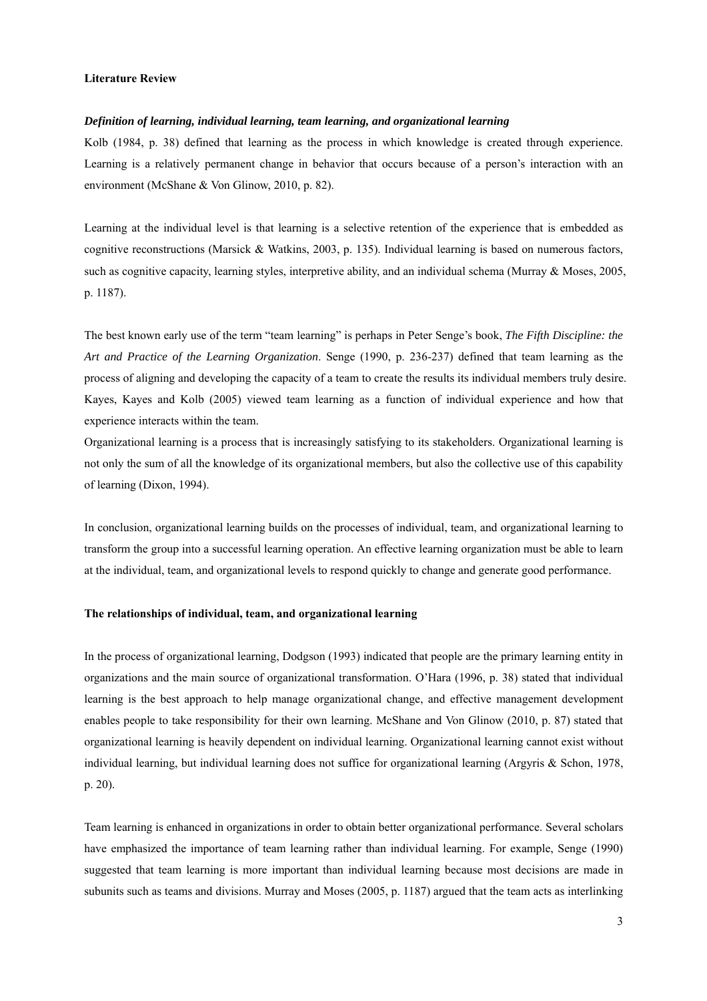#### **Literature Review**

#### *Definition of learning, individual learning, team learning, and organizational learning*

Kolb (1984, p. 38) defined that learning as the process in which knowledge is created through experience. Learning is a relatively permanent change in behavior that occurs because of a person's interaction with an environment (McShane & Von Glinow, 2010, p. 82).

Learning at the individual level is that learning is a selective retention of the experience that is embedded as cognitive reconstructions (Marsick & Watkins, 2003, p. 135). Individual learning is based on numerous factors, such as cognitive capacity, learning styles, interpretive ability, and an individual schema (Murray & Moses, 2005, p. 1187).

The best known early use of the term "team learning" is perhaps in Peter Senge's book, *The Fifth Discipline: the Art and Practice of the Learning Organization*. Senge (1990, p. 236-237) defined that team learning as the process of aligning and developing the capacity of a team to create the results its individual members truly desire. Kayes, Kayes and Kolb (2005) viewed team learning as a function of individual experience and how that experience interacts within the team.

Organizational learning is a process that is increasingly satisfying to its stakeholders. Organizational learning is not only the sum of all the knowledge of its organizational members, but also the collective use of this capability of learning (Dixon, 1994).

In conclusion, organizational learning builds on the processes of individual, team, and organizational learning to transform the group into a successful learning operation. An effective learning organization must be able to learn at the individual, team, and organizational levels to respond quickly to change and generate good performance.

# **The relationships of individual, team, and organizational learning**

In the process of organizational learning, Dodgson (1993) indicated that people are the primary learning entity in organizations and the main source of organizational transformation. O'Hara (1996, p. 38) stated that individual learning is the best approach to help manage organizational change, and effective management development enables people to take responsibility for their own learning. McShane and Von Glinow (2010, p. 87) stated that organizational learning is heavily dependent on individual learning. Organizational learning cannot exist without individual learning, but individual learning does not suffice for organizational learning (Argyris & Schon, 1978, p. 20).

Team learning is enhanced in organizations in order to obtain better organizational performance. Several scholars have emphasized the importance of team learning rather than individual learning. For example, Senge (1990) suggested that team learning is more important than individual learning because most decisions are made in subunits such as teams and divisions. Murray and Moses (2005, p. 1187) argued that the team acts as interlinking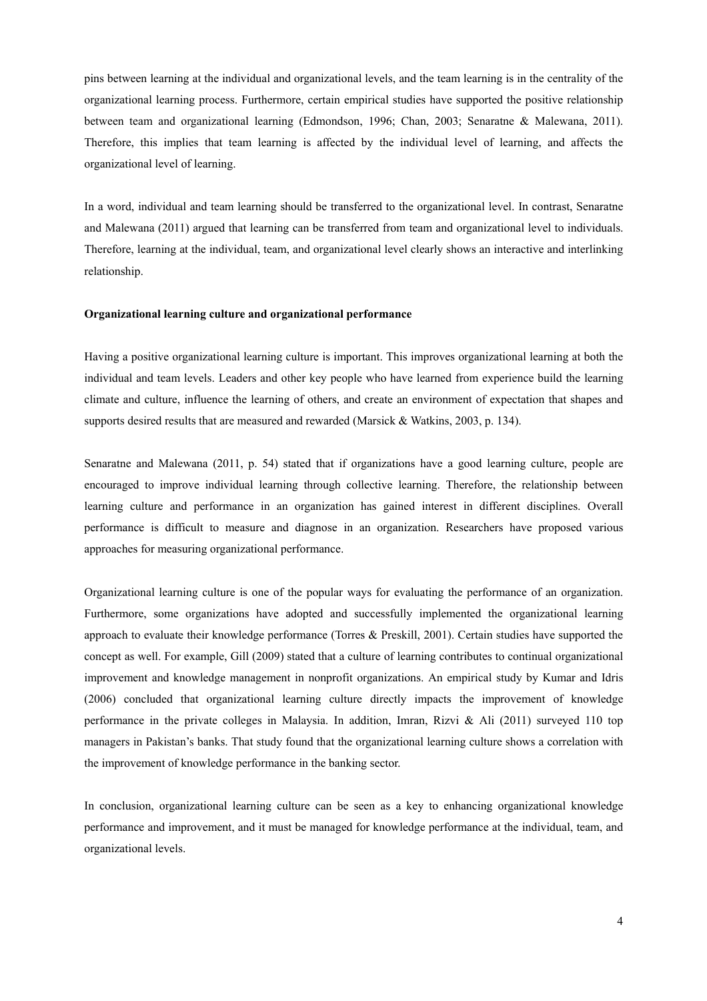pins between learning at the individual and organizational levels, and the team learning is in the centrality of the organizational learning process. Furthermore, certain empirical studies have supported the positive relationship between team and organizational learning (Edmondson, 1996; Chan, 2003; Senaratne & Malewana, 2011). Therefore, this implies that team learning is affected by the individual level of learning, and affects the organizational level of learning.

In a word, individual and team learning should be transferred to the organizational level. In contrast, Senaratne and Malewana (2011) argued that learning can be transferred from team and organizational level to individuals. Therefore, learning at the individual, team, and organizational level clearly shows an interactive and interlinking relationship.

#### **Organizational learning culture and organizational performance**

Having a positive organizational learning culture is important. This improves organizational learning at both the individual and team levels. Leaders and other key people who have learned from experience build the learning climate and culture, influence the learning of others, and create an environment of expectation that shapes and supports desired results that are measured and rewarded (Marsick & Watkins, 2003, p. 134).

Senaratne and Malewana (2011, p. 54) stated that if organizations have a good learning culture, people are encouraged to improve individual learning through collective learning. Therefore, the relationship between learning culture and performance in an organization has gained interest in different disciplines. Overall performance is difficult to measure and diagnose in an organization. Researchers have proposed various approaches for measuring organizational performance.

Organizational learning culture is one of the popular ways for evaluating the performance of an organization. Furthermore, some organizations have adopted and successfully implemented the organizational learning approach to evaluate their knowledge performance (Torres & Preskill, 2001). Certain studies have supported the concept as well. For example, Gill (2009) stated that a culture of learning contributes to continual organizational improvement and knowledge management in nonprofit organizations. An empirical study by Kumar and Idris (2006) concluded that organizational learning culture directly impacts the improvement of knowledge performance in the private colleges in Malaysia. In addition, Imran, Rizvi & Ali (2011) surveyed 110 top managers in Pakistan's banks. That study found that the organizational learning culture shows a correlation with the improvement of knowledge performance in the banking sector.

In conclusion, organizational learning culture can be seen as a key to enhancing organizational knowledge performance and improvement, and it must be managed for knowledge performance at the individual, team, and organizational levels.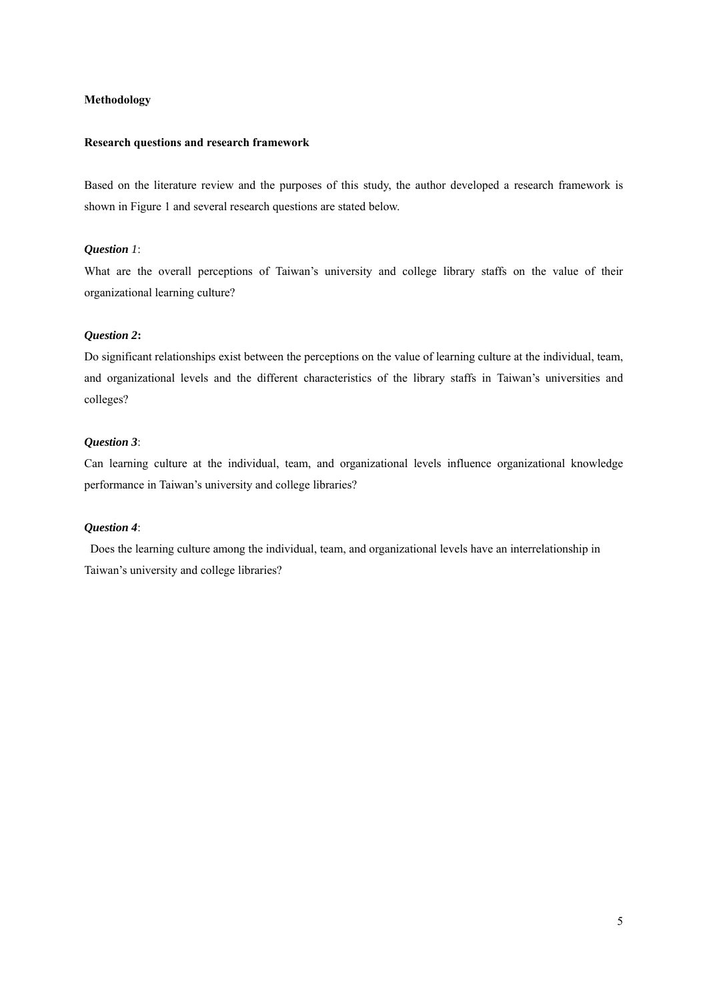# **Methodology**

#### **Research questions and research framework**

Based on the literature review and the purposes of this study, the author developed a research framework is shown in Figure 1 and several research questions are stated below.

# *Question 1*:

What are the overall perceptions of Taiwan's university and college library staffs on the value of their organizational learning culture?

# *Question 2***:**

Do significant relationships exist between the perceptions on the value of learning culture at the individual, team, and organizational levels and the different characteristics of the library staffs in Taiwan's universities and colleges?

# *Question 3*:

Can learning culture at the individual, team, and organizational levels influence organizational knowledge performance in Taiwan's university and college libraries?

# *Question 4*:

 Does the learning culture among the individual, team, and organizational levels have an interrelationship in Taiwan's university and college libraries?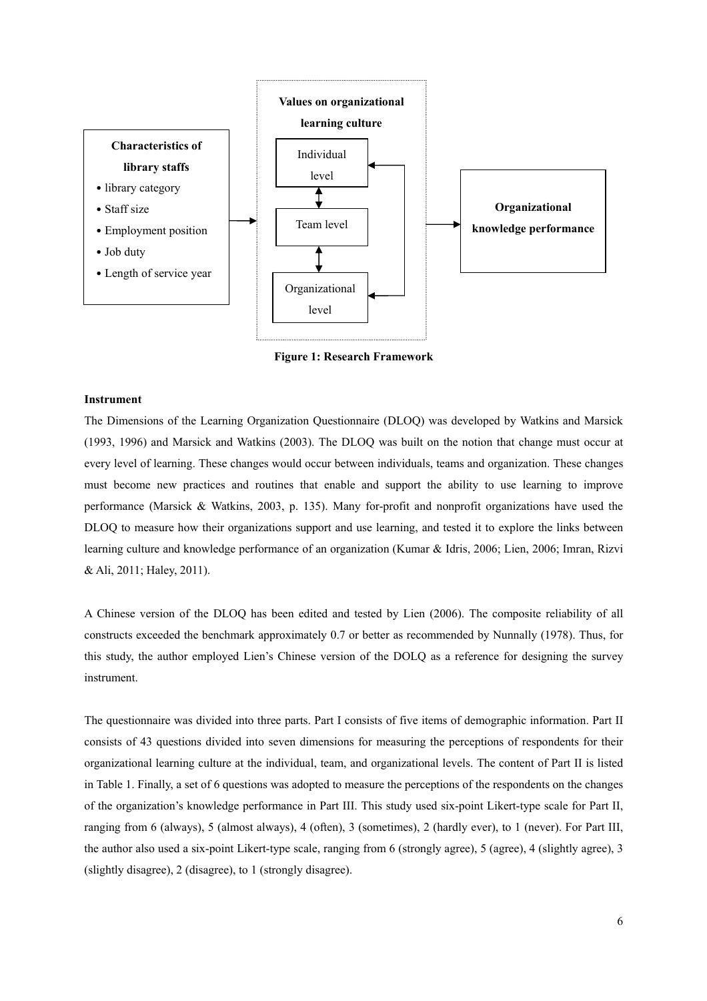

**Figure 1: Research Framework** 

#### **Instrument**

The Dimensions of the Learning Organization Questionnaire (DLOQ) was developed by Watkins and Marsick (1993, 1996) and Marsick and Watkins (2003). The DLOQ was built on the notion that change must occur at every level of learning. These changes would occur between individuals, teams and organization. These changes must become new practices and routines that enable and support the ability to use learning to improve performance (Marsick & Watkins, 2003, p. 135). Many for-profit and nonprofit organizations have used the DLOQ to measure how their organizations support and use learning, and tested it to explore the links between learning culture and knowledge performance of an organization (Kumar & Idris, 2006; Lien, 2006; Imran, Rizvi & Ali, 2011; Haley, 2011).

A Chinese version of the DLOQ has been edited and tested by Lien (2006). The composite reliability of all constructs exceeded the benchmark approximately 0.7 or better as recommended by Nunnally (1978). Thus, for this study, the author employed Lien's Chinese version of the DOLQ as a reference for designing the survey instrument.

The questionnaire was divided into three parts. Part I consists of five items of demographic information. Part II consists of 43 questions divided into seven dimensions for measuring the perceptions of respondents for their organizational learning culture at the individual, team, and organizational levels. The content of Part II is listed in Table 1. Finally, a set of 6 questions was adopted to measure the perceptions of the respondents on the changes of the organization's knowledge performance in Part III. This study used six-point Likert-type scale for Part II, ranging from 6 (always), 5 (almost always), 4 (often), 3 (sometimes), 2 (hardly ever), to 1 (never). For Part III, the author also used a six-point Likert-type scale, ranging from 6 (strongly agree), 5 (agree), 4 (slightly agree), 3 (slightly disagree), 2 (disagree), to 1 (strongly disagree).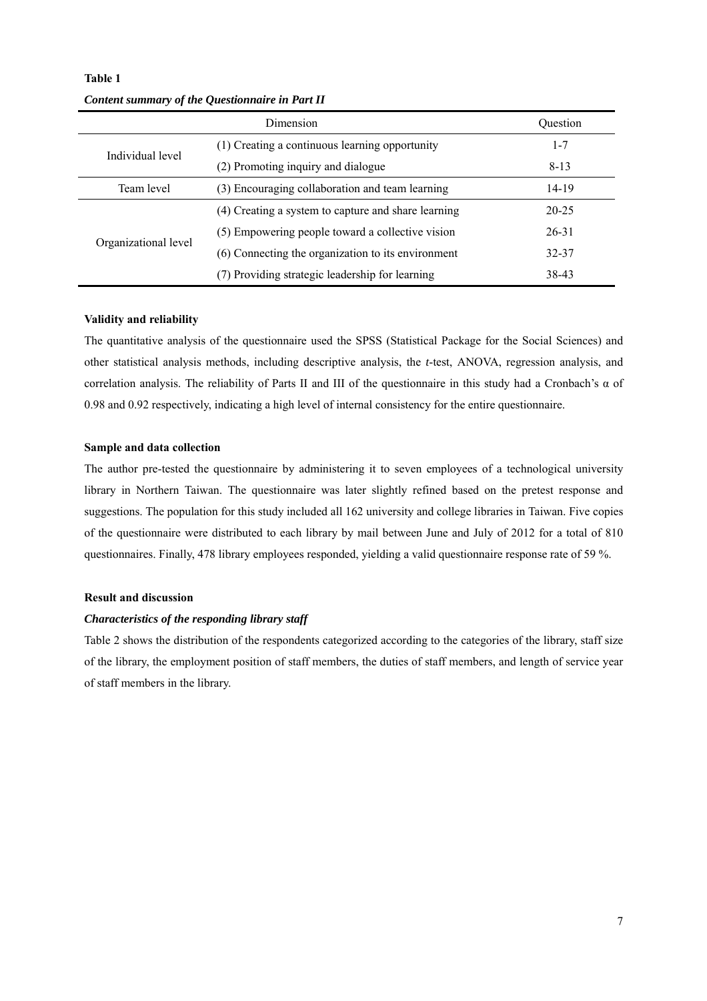|                      | <b>Ouestion</b>                                     |           |
|----------------------|-----------------------------------------------------|-----------|
|                      | (1) Creating a continuous learning opportunity      | $1 - 7$   |
| Individual level     | (2) Promoting inquiry and dialogue                  | $8 - 13$  |
| Team level           | (3) Encouraging collaboration and team learning     | 14-19     |
| Organizational level | (4) Creating a system to capture and share learning | $20 - 25$ |
|                      | (5) Empowering people toward a collective vision    | $26 - 31$ |
|                      | (6) Connecting the organization to its environment  | 32-37     |
|                      | (7) Providing strategic leadership for learning     | 38-43     |

**Table 1**  *Content summary of the Questionnaire in Part II*

# **Validity and reliability**

The quantitative analysis of the questionnaire used the SPSS (Statistical Package for the Social Sciences) and other statistical analysis methods, including descriptive analysis, the *t*-test, ANOVA, regression analysis, and correlation analysis. The reliability of Parts II and III of the questionnaire in this study had a Cronbach's  $\alpha$  of 0.98 and 0.92 respectively, indicating a high level of internal consistency for the entire questionnaire.

# **Sample and data collection**

The author pre-tested the questionnaire by administering it to seven employees of a technological university library in Northern Taiwan. The questionnaire was later slightly refined based on the pretest response and suggestions. The population for this study included all 162 university and college libraries in Taiwan. Five copies of the questionnaire were distributed to each library by mail between June and July of 2012 for a total of 810 questionnaires. Finally, 478 library employees responded, yielding a valid questionnaire response rate of 59 %.

# **Result and discussion**

# *Characteristics of the responding library staff*

Table 2 shows the distribution of the respondents categorized according to the categories of the library, staff size of the library, the employment position of staff members, the duties of staff members, and length of service year of staff members in the library.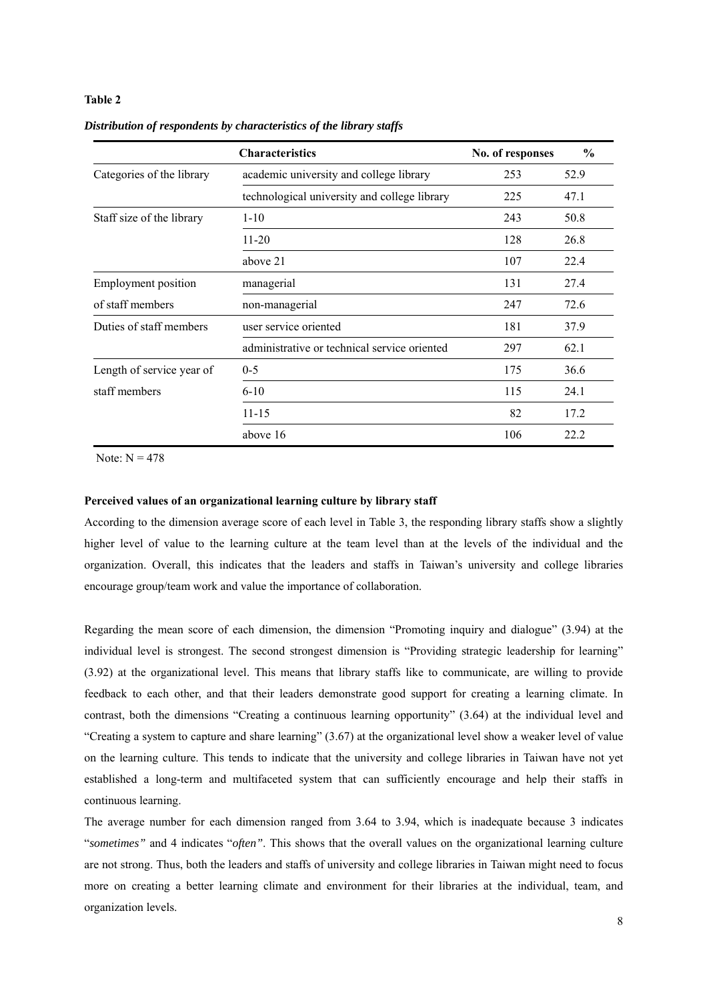# **Table 2**

|                            | <b>Characteristics</b>                       | No. of responses | $\frac{6}{9}$ |
|----------------------------|----------------------------------------------|------------------|---------------|
| Categories of the library  | academic university and college library      |                  | 52.9          |
|                            | technological university and college library | 225              | 47.1          |
| Staff size of the library  | $1 - 10$                                     | 243              | 50.8          |
|                            | $11 - 20$                                    | 128              | 26.8          |
|                            | above 21                                     | 107              | 22.4          |
| <b>Employment</b> position | managerial                                   | 131              | 27.4          |
| of staff members           | non-managerial                               | 247              | 72.6          |
| Duties of staff members    | user service oriented                        | 181              | 37.9          |
|                            | administrative or technical service oriented | 297              | 62.1          |
| Length of service year of  | $0 - 5$                                      | 175              | 36.6          |
| staff members              | $6-10$                                       | 115              | 24.1          |
|                            | $11 - 15$                                    | 82               | 17.2          |
|                            | above 16                                     | 106              | 22.2          |

*Distribution of respondents by characteristics of the library staffs*

Note:  $N = 478$ 

# **Perceived values of an organizational learning culture by library staff**

According to the dimension average score of each level in Table 3, the responding library staffs show a slightly higher level of value to the learning culture at the team level than at the levels of the individual and the organization. Overall, this indicates that the leaders and staffs in Taiwan's university and college libraries encourage group/team work and value the importance of collaboration.

Regarding the mean score of each dimension, the dimension "Promoting inquiry and dialogue" (3.94) at the individual level is strongest. The second strongest dimension is "Providing strategic leadership for learning" (3.92) at the organizational level. This means that library staffs like to communicate, are willing to provide feedback to each other, and that their leaders demonstrate good support for creating a learning climate. In contrast, both the dimensions "Creating a continuous learning opportunity" (3.64) at the individual level and "Creating a system to capture and share learning" (3.67) at the organizational level show a weaker level of value on the learning culture. This tends to indicate that the university and college libraries in Taiwan have not yet established a long-term and multifaceted system that can sufficiently encourage and help their staffs in continuous learning.

The average number for each dimension ranged from 3.64 to 3.94, which is inadequate because 3 indicates "*sometimes"* and 4 indicates "*often"*. This shows that the overall values on the organizational learning culture are not strong. Thus, both the leaders and staffs of university and college libraries in Taiwan might need to focus more on creating a better learning climate and environment for their libraries at the individual, team, and organization levels.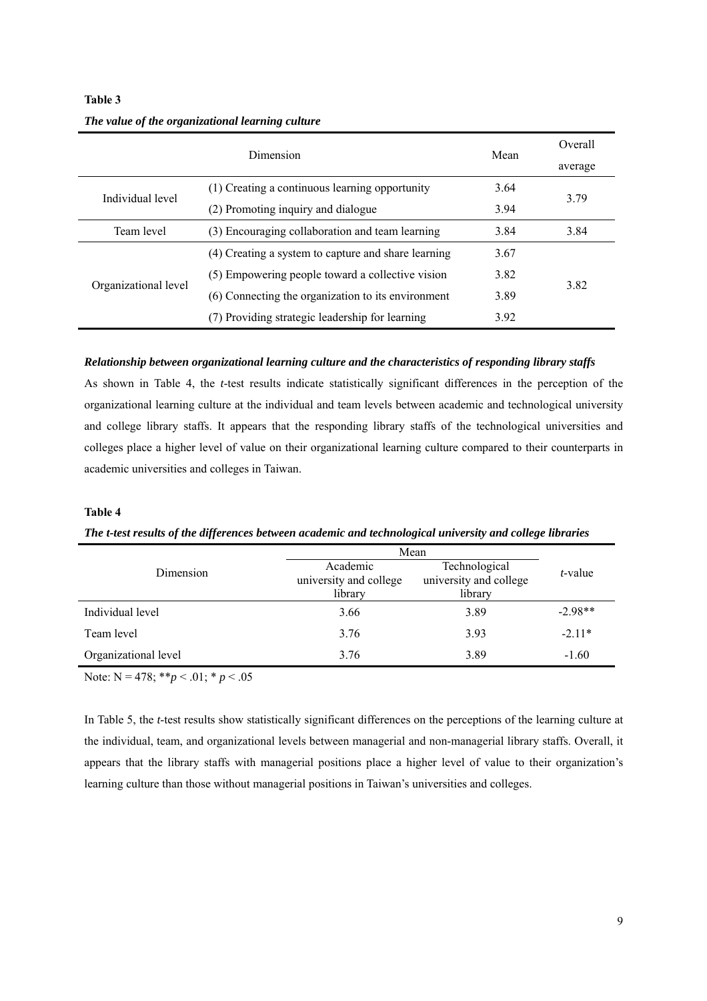|                      | Mean                                                | Overall |              |  |
|----------------------|-----------------------------------------------------|---------|--------------|--|
|                      |                                                     | average |              |  |
|                      | (1) Creating a continuous learning opportunity      | 3.64    | 3.79<br>3.94 |  |
| Individual level     | (2) Promoting inquiry and dialogue                  |         |              |  |
| Team level           | (3) Encouraging collaboration and team learning     | 3.84    | 3.84         |  |
| Organizational level | (4) Creating a system to capture and share learning | 3.67    |              |  |
|                      | (5) Empowering people toward a collective vision    | 3.82    |              |  |
|                      | (6) Connecting the organization to its environment  | 3.89    | 382          |  |
|                      | (7) Providing strategic leadership for learning     | 3.92    |              |  |

# *The value of the organizational learning culture*

# *Relationship between organizational learning culture and the characteristics of responding library staffs*

As shown in Table 4, the *t*-test results indicate statistically significant differences in the perception of the organizational learning culture at the individual and team levels between academic and technological university and college library staffs. It appears that the responding library staffs of the technological universities and colleges place a higher level of value on their organizational learning culture compared to their counterparts in academic universities and colleges in Taiwan.

# **Table 4**

**Table 3** 

# *The t-test results of the differences between academic and technological university and college libraries*

|                      | Mean                                                                                                |      |           |  |
|----------------------|-----------------------------------------------------------------------------------------------------|------|-----------|--|
| Dimension            | Technological<br>Academic<br>university and college<br>university and college<br>library<br>library |      | t-value   |  |
| Individual level     | 3.66                                                                                                | 3.89 | $-2.98**$ |  |
| Team level           | 3.76                                                                                                | 3.93 | $-2.11*$  |  |
| Organizational level | 3.76                                                                                                | 3.89 | $-1.60$   |  |

Note:  $N = 478$ ; \*\**p* < .01; \* *p* < .05

In Table 5, the *t*-test results show statistically significant differences on the perceptions of the learning culture at the individual, team, and organizational levels between managerial and non-managerial library staffs. Overall, it appears that the library staffs with managerial positions place a higher level of value to their organization's learning culture than those without managerial positions in Taiwan's universities and colleges.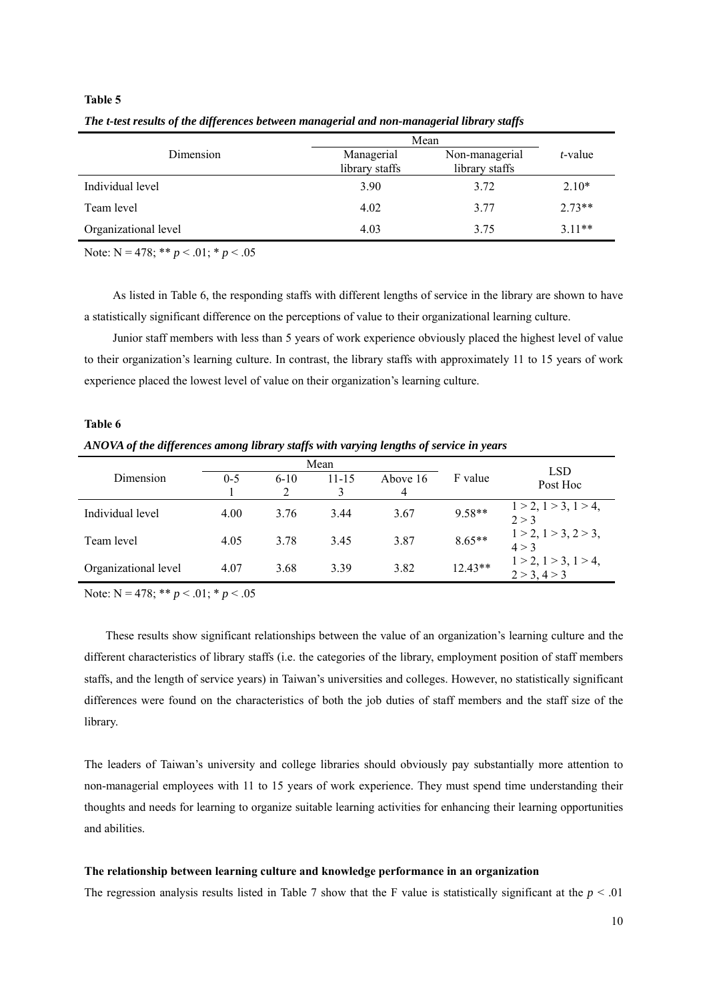|                      | Mean                         |                                  |          |  |  |
|----------------------|------------------------------|----------------------------------|----------|--|--|
| Dimension            | Managerial<br>library staffs | Non-managerial<br>library staffs | t-value  |  |  |
| Individual level     | 3.90                         | 3.72                             | $2.10*$  |  |  |
| Team level           | 4.02                         | 3.77                             | $2.73**$ |  |  |
| Organizational level | 4.03                         | 3.75                             | $3.11**$ |  |  |

*The t-test results of the differences between managerial and non-managerial library staffs* 

Note: N = 478; \*\* *p* < .01; \* *p* < .05

**Table 5** 

As listed in Table 6, the responding staffs with different lengths of service in the library are shown to have a statistically significant difference on the perceptions of value to their organizational learning culture.

Junior staff members with less than 5 years of work experience obviously placed the highest level of value to their organization's learning culture. In contrast, the library staffs with approximately 11 to 15 years of work experience placed the lowest level of value on their organization's learning culture.

# **Table 6**  *ANOVA of the differences among library staffs with varying lengths of service in years*

|                      | Mean    |        |           |          |           | <b>LSD</b>                               |
|----------------------|---------|--------|-----------|----------|-----------|------------------------------------------|
| Dimension            | $0 - 5$ | $6-10$ | $11 - 15$ | Above 16 | F value   | Post Hoc                                 |
|                      |         |        |           | 4        |           |                                          |
| Individual level     | 4.00    | 3.76   | 3.44      | 3.67     | $9.58**$  | $1 > 2$ , $1 > 3$ , $1 > 4$ ,<br>2 > 3   |
| Team level           | 4.05    | 3.78   | 3.45      | 3.87     | $8.65**$  | $1 > 2$ , $1 > 3$ , $2 > 3$ ,<br>$4 > 3$ |
| Organizational level | 4.07    | 3.68   | 3.39      | 3.82     | $12.43**$ | $1 > 2, 1 > 3, 1 > 4,$<br>2 > 3, 4 > 3   |

Note:  $N = 478$ ; \*\*  $p < .01$ ; \*  $p < .05$ 

These results show significant relationships between the value of an organization's learning culture and the different characteristics of library staffs (i.e. the categories of the library, employment position of staff members staffs, and the length of service years) in Taiwan's universities and colleges. However, no statistically significant differences were found on the characteristics of both the job duties of staff members and the staff size of the library.

The leaders of Taiwan's university and college libraries should obviously pay substantially more attention to non-managerial employees with 11 to 15 years of work experience. They must spend time understanding their thoughts and needs for learning to organize suitable learning activities for enhancing their learning opportunities and abilities.

# **The relationship between learning culture and knowledge performance in an organization**

The regression analysis results listed in Table 7 show that the F value is statistically significant at the  $p < .01$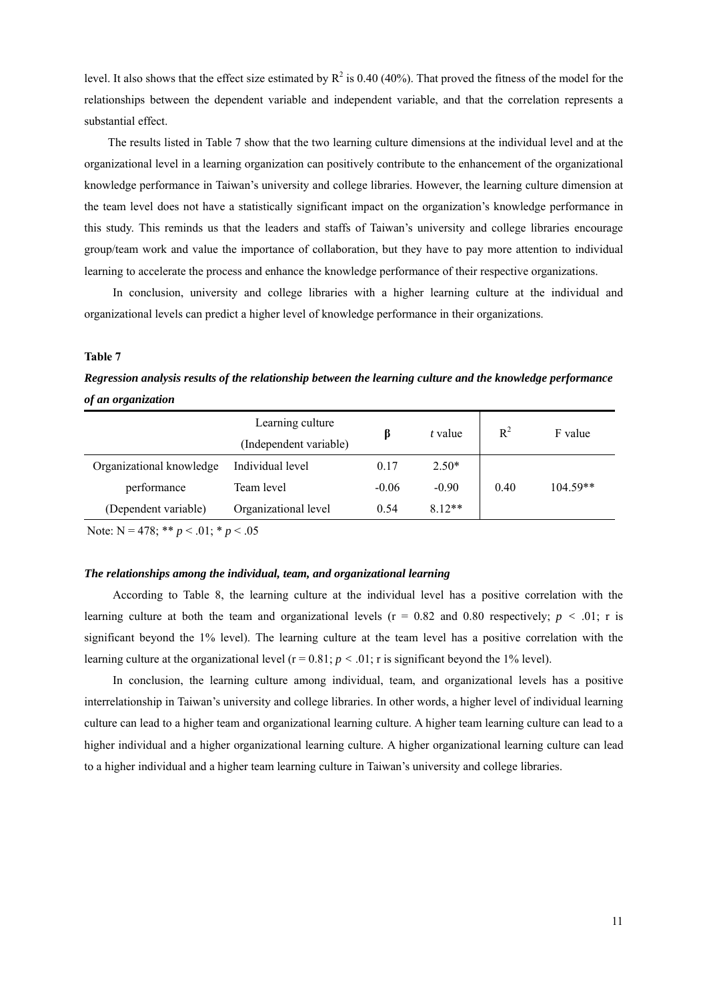level. It also shows that the effect size estimated by  $R^2$  is 0.40 (40%). That proved the fitness of the model for the relationships between the dependent variable and independent variable, and that the correlation represents a substantial effect.

The results listed in Table 7 show that the two learning culture dimensions at the individual level and at the organizational level in a learning organization can positively contribute to the enhancement of the organizational knowledge performance in Taiwan's university and college libraries. However, the learning culture dimension at the team level does not have a statistically significant impact on the organization's knowledge performance in this study. This reminds us that the leaders and staffs of Taiwan's university and college libraries encourage group/team work and value the importance of collaboration, but they have to pay more attention to individual learning to accelerate the process and enhance the knowledge performance of their respective organizations.

In conclusion, university and college libraries with a higher learning culture at the individual and organizational levels can predict a higher level of knowledge performance in their organizations.

# **Table 7**

*Regression analysis results of the relationship between the learning culture and the knowledge performance of an organization*

|                          | Learning culture       |         | t value | $R^2$ | F value    |
|--------------------------|------------------------|---------|---------|-------|------------|
|                          | (Independent variable) |         |         |       |            |
| Organizational knowledge | Individual level       | 0.17    | $2.50*$ |       |            |
| performance              | Team level             | $-0.06$ | $-0.90$ | 0.40  | $104.59**$ |
| (Dependent variable)     | Organizational level   | 0.54    | $812**$ |       |            |
|                          |                        |         |         |       |            |

Note: N = 478; \*\* *p* < .01; \* *p* < .05

#### *The relationships among the individual, team, and organizational learning*

According to Table 8, the learning culture at the individual level has a positive correlation with the learning culture at both the team and organizational levels (r = 0.82 and 0.80 respectively; *p <* .01; r is significant beyond the 1% level). The learning culture at the team level has a positive correlation with the learning culture at the organizational level  $(r = 0.81; p < .01; r$  is significant beyond the 1% level).

In conclusion, the learning culture among individual, team, and organizational levels has a positive interrelationship in Taiwan's university and college libraries. In other words, a higher level of individual learning culture can lead to a higher team and organizational learning culture. A higher team learning culture can lead to a higher individual and a higher organizational learning culture. A higher organizational learning culture can lead to a higher individual and a higher team learning culture in Taiwan's university and college libraries.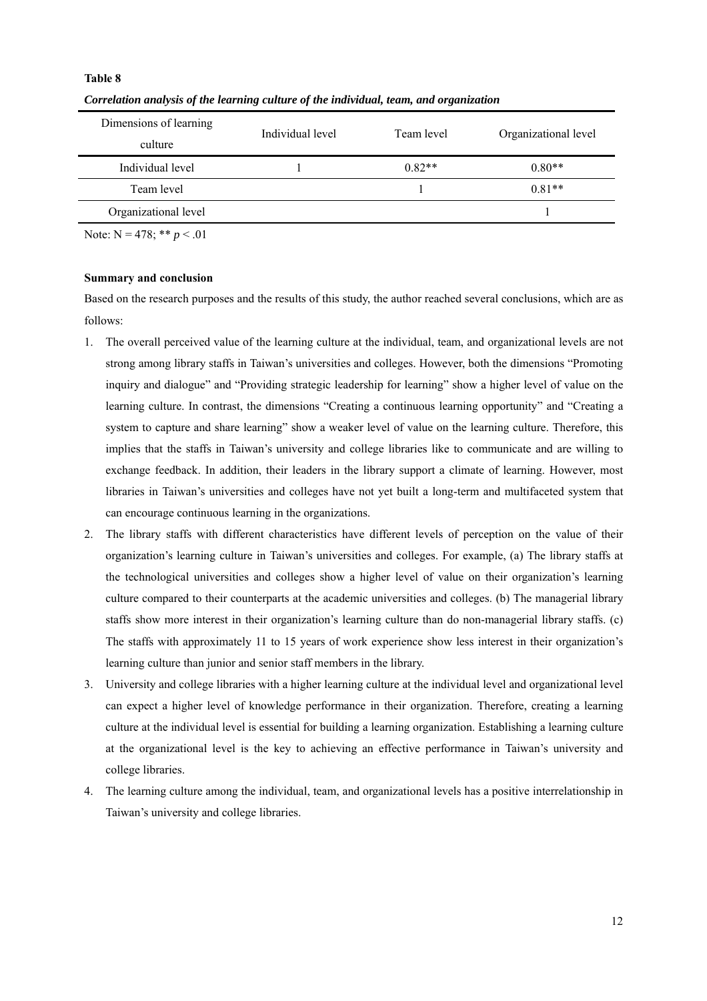# **Table 8**

| Dimensions of learning | Individual level | Team level | Organizational level |  |
|------------------------|------------------|------------|----------------------|--|
| culture                |                  |            |                      |  |
| Individual level       |                  | $0.82**$   | $0.80**$             |  |
| Team level             |                  |            | $0.81**$             |  |
| Organizational level   |                  |            |                      |  |

*Correlation analysis of the learning culture of the individual, team, and organization* 

Note:  $N = 478$ ; \*\*  $p < .01$ 

# **Summary and conclusion**

Based on the research purposes and the results of this study, the author reached several conclusions, which are as follows:

- 1. The overall perceived value of the learning culture at the individual, team, and organizational levels are not strong among library staffs in Taiwan's universities and colleges. However, both the dimensions "Promoting inquiry and dialogue" and "Providing strategic leadership for learning" show a higher level of value on the learning culture. In contrast, the dimensions "Creating a continuous learning opportunity" and "Creating a system to capture and share learning" show a weaker level of value on the learning culture. Therefore, this implies that the staffs in Taiwan's university and college libraries like to communicate and are willing to exchange feedback. In addition, their leaders in the library support a climate of learning. However, most libraries in Taiwan's universities and colleges have not yet built a long-term and multifaceted system that can encourage continuous learning in the organizations.
- 2. The library staffs with different characteristics have different levels of perception on the value of their organization's learning culture in Taiwan's universities and colleges. For example, (a) The library staffs at the technological universities and colleges show a higher level of value on their organization's learning culture compared to their counterparts at the academic universities and colleges. (b) The managerial library staffs show more interest in their organization's learning culture than do non-managerial library staffs. (c) The staffs with approximately 11 to 15 years of work experience show less interest in their organization's learning culture than junior and senior staff members in the library.
- 3. University and college libraries with a higher learning culture at the individual level and organizational level can expect a higher level of knowledge performance in their organization. Therefore, creating a learning culture at the individual level is essential for building a learning organization. Establishing a learning culture at the organizational level is the key to achieving an effective performance in Taiwan's university and college libraries.
- 4. The learning culture among the individual, team, and organizational levels has a positive interrelationship in Taiwan's university and college libraries.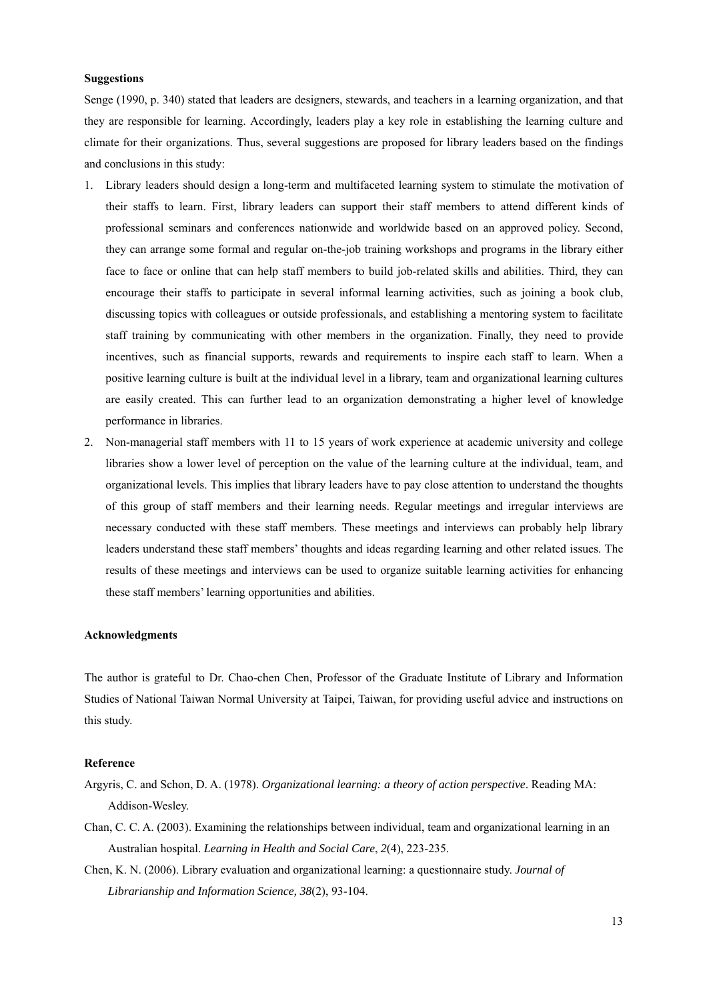# **Suggestions**

Senge (1990, p. 340) stated that leaders are designers, stewards, and teachers in a learning organization, and that they are responsible for learning. Accordingly, leaders play a key role in establishing the learning culture and climate for their organizations. Thus, several suggestions are proposed for library leaders based on the findings and conclusions in this study:

- 1. Library leaders should design a long-term and multifaceted learning system to stimulate the motivation of their staffs to learn. First, library leaders can support their staff members to attend different kinds of professional seminars and conferences nationwide and worldwide based on an approved policy. Second, they can arrange some formal and regular on-the-job training workshops and programs in the library either face to face or online that can help staff members to build job-related skills and abilities. Third, they can encourage their staffs to participate in several informal learning activities, such as joining a book club, discussing topics with colleagues or outside professionals, and establishing a mentoring system to facilitate staff training by communicating with other members in the organization. Finally, they need to provide incentives, such as financial supports, rewards and requirements to inspire each staff to learn. When a positive learning culture is built at the individual level in a library, team and organizational learning cultures are easily created. This can further lead to an organization demonstrating a higher level of knowledge performance in libraries.
- 2. Non-managerial staff members with 11 to 15 years of work experience at academic university and college libraries show a lower level of perception on the value of the learning culture at the individual, team, and organizational levels. This implies that library leaders have to pay close attention to understand the thoughts of this group of staff members and their learning needs. Regular meetings and irregular interviews are necessary conducted with these staff members. These meetings and interviews can probably help library leaders understand these staff members' thoughts and ideas regarding learning and other related issues. The results of these meetings and interviews can be used to organize suitable learning activities for enhancing these staff members' learning opportunities and abilities.

#### **Acknowledgments**

The author is grateful to Dr. Chao-chen Chen, Professor of the Graduate Institute of Library and Information Studies of National Taiwan Normal University at Taipei, Taiwan, for providing useful advice and instructions on this study.

#### **Reference**

- Argyris, C. and Schon, D. A. (1978). *Organizational learning: a theory of action perspective*. Reading MA: Addison-Wesley.
- Chan, C. C. A. (2003). Examining the relationships between individual, team and organizational learning in an Australian hospital. *Learning in Health and Social Care*, *2*(4), 223-235.
- Chen, K. N. (2006). Library evaluation and organizational learning: a questionnaire study. *Journal of Librarianship and Information Science, 38*(2), 93-104.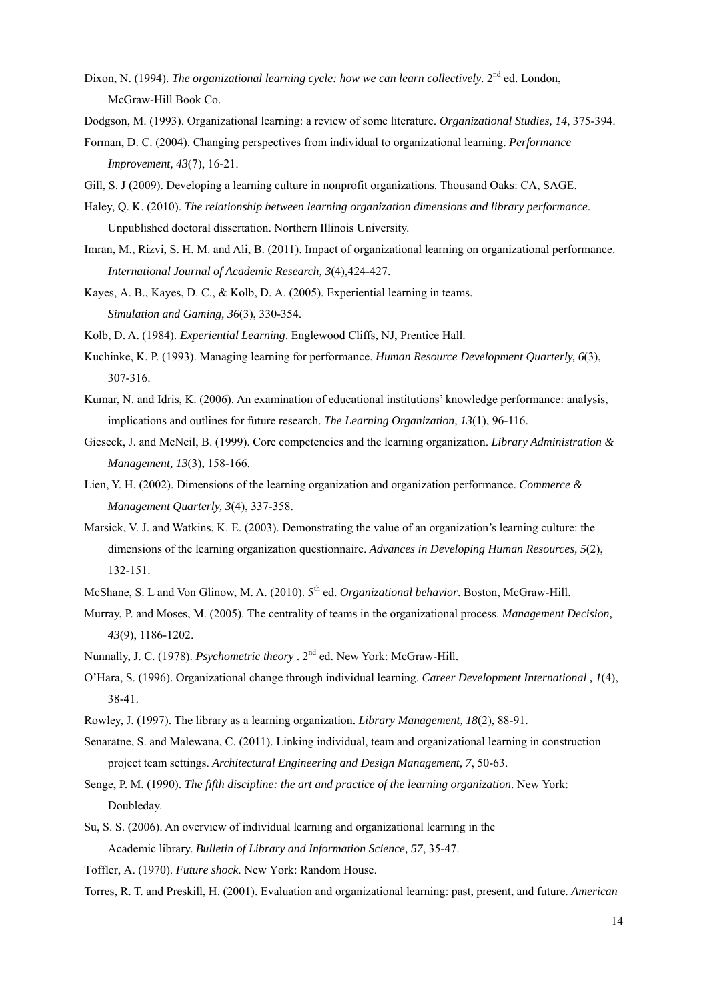- Dixon, N. (1994). *The organizational learning cycle: how we can learn collectively*.  $2^{nd}$  ed. London, McGraw-Hill Book Co.
- Dodgson, M. (1993). Organizational learning: a review of some literature. *Organizational Studies, 14*, 375-394.
- Forman, D. C. (2004). Changing perspectives from individual to organizational learning. *Performance Improvement, 43*(7), 16-21.
- Gill, S. J (2009). Developing a learning culture in nonprofit organizations. Thousand Oaks: CA, SAGE.
- Haley, Q. K. (2010). *The relationship between learning organization dimensions and library performance*. Unpublished doctoral dissertation. Northern Illinois University.
- Imran, M., Rizvi, S. H. M. and Ali, B. (2011). Impact of organizational learning on organizational performance. *International Journal of Academic Research, 3*(4),424-427.
- Kayes, A. B., Kayes, D. C., & Kolb, D. A. (2005). Experiential learning in teams. *Simulation and Gaming, 36*(3), 330-354.

Kolb, D. A. (1984). *Experiential Learning*. Englewood Cliffs, NJ, Prentice Hall.

- Kuchinke, K. P. (1993). Managing learning for performance. *Human Resource Development Quarterly, 6*(3), 307-316.
- Kumar, N. and Idris, K. (2006). An examination of educational institutions' knowledge performance: analysis, implications and outlines for future research. *The Learning Organization, 13*(1), 96-116.
- Gieseck, J. and McNeil, B. (1999). Core competencies and the learning organization. *Library Administration & Management, 13*(3), 158-166.
- Lien, Y. H. (2002). Dimensions of the learning organization and organization performance. *Commerce & Management Quarterly, 3*(4), 337-358.
- Marsick, V. J. and Watkins, K. E. (2003). Demonstrating the value of an organization's learning culture: the dimensions of the learning organization questionnaire. *Advances in Developing Human Resources, 5*(2), 132-151.
- McShane, S. L and Von Glinow, M. A. (2010). 5<sup>th</sup> ed. *Organizational behavior*. Boston, McGraw-Hill.
- Murray, P. and Moses, M. (2005). The centrality of teams in the organizational process. *Management Decision, 43*(9), 1186-1202.
- Nunnally, J. C. (1978). *Psychometric theory* . 2<sup>nd</sup> ed. New York: McGraw-Hill.
- O'Hara, S. (1996). Organizational change through individual learning. *Career Development International , 1*(4), 38-41.
- Rowley, J. (1997). The library as a learning organization. *Library Management, 18*(2), 88-91.
- Senaratne, S. and Malewana, C. (2011). Linking individual, team and organizational learning in construction project team settings. *Architectural Engineering and Design Management, 7*, 50-63.
- Senge, P. M. (1990). *The fifth discipline: the art and practice of the learning organization*. New York: Doubleday.
- Su, S. S. (2006). An overview of individual learning and organizational learning in the Academic library. *Bulletin of Library and Information Science, 57*, 35-47.
- Toffler, A. (1970). *Future shock*. New York: Random House.
- Torres, R. T. and Preskill, H. (2001). Evaluation and organizational learning: past, present, and future. *American*